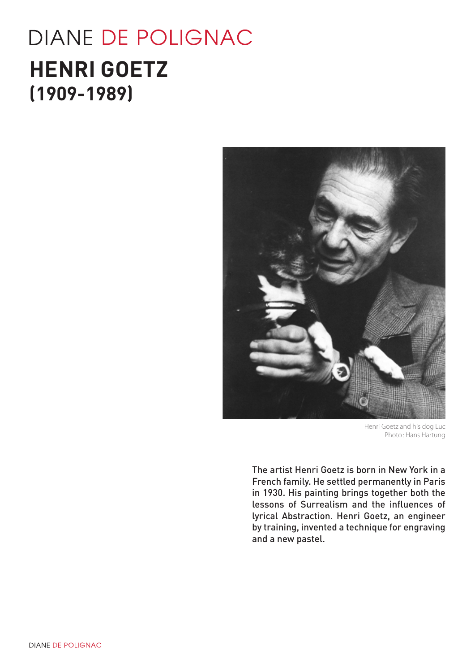# **DIANE DE POLIGNAC HENRI GOETZ (1909-1989)**



Henri Goetz and his dog Luc Photo: Hans Hartung

The artist Henri Goetz is born in New York in a French family. He settled permanently in Paris in 1930. His painting brings together both the lessons of Surrealism and the influences of lyrical Abstraction. Henri Goetz, an engineer by training, invented a technique for engraving and a new pastel.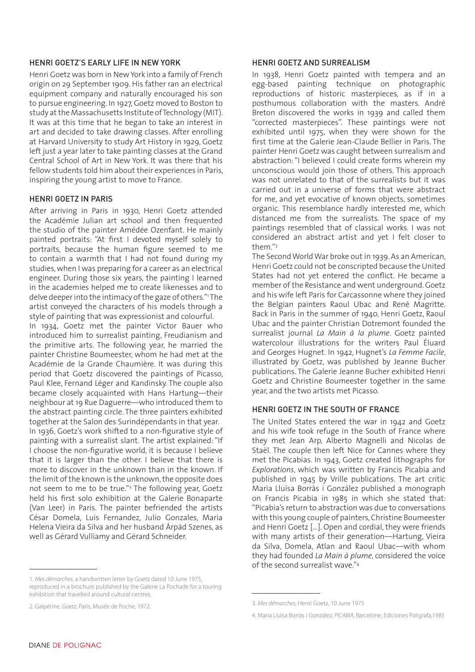## HENRI GOETZ'S EARLY LIFE IN NEW YORK

Henri Goetz was born in New York into a family of French origin on 29 September 1909. His father ran an electrical equipment company and naturally encouraged his son to pursue engineering. In 1927, Goetz moved to Boston to study at the Massachusetts Institute of Technology (MIT). It was at this time that he began to take an interest in art and decided to take drawing classes. After enrolling at Harvard University to study Art History in 1929, Goetz left just a year later to take painting classes at the Grand Central School of Art in New York. It was there that his fellow students told him about their experiences in Paris, inspiring the young artist to move to France.

## HENRI GOETZ IN PARIS

After arriving in Paris in 1930, Henri Goetz attended the Académie Julian art school and then frequented the studio of the painter Amédée Ozenfant. He mainly painted portraits: "At first I devoted myself solely to portraits, because the human figure seemed to me to contain a warmth that I had not found during my studies, when I was preparing for a career as an electrical engineer. During those six years, the painting I learned in the academies helped me to create likenesses and to delve deeper into the intimacy of the gaze of others."' The artist conveyed the characters of his models through a style of painting that was expressionist and colourful.

In 1934, Goetz met the painter Victor Bauer who introduced him to surrealist painting, Freudianism and the primitive arts. The following year, he married the painter Christine Boumeester, whom he had met at the Académie de la Grande Chaumière. It was during this period that Goetz discovered the paintings of Picasso, Paul Klee, Fernand Léger and Kandinsky. The couple also became closely acquainted with Hans Hartung—their neighbour at 19 Rue Daguerre—who introduced them to the abstract painting circle. The three painters exhibited together at the Salon des Surindépendants in that year.

In 1936, Goetz's work shifted to a non-figurative style of painting with a surrealist slant. The artist explained: "If I choose the non-figurative world, it is because I believe that it is larger than the other. I believe that there is more to discover in the unknown than in the known. If the limit of the known is the unknown, the opposite does not seem to me to be true."2 The following year, Goetz held his first solo exhibition at the Galerie Bonaparte (Van Leer) in Paris. The painter befriended the artists César Domela, Luis Fernandez, Julio Gonzales, Maria Helena Vieira da Silva and her husband Árpád Szenes, as well as Gérard Vulliamy and Gérard Schneider.

#### HENRI GOETZ AND SURREALISM

In 1938, Henri Goetz painted with tempera and an egg-based painting technique on photographic reproductions of historic masterpieces, as if in a posthumous collaboration with the masters. André Breton discovered the works in 1939 and called them "corrected masterpieces". These paintings were not exhibited until 1975, when they were shown for the first time at the Galerie Jean-Claude Bellier in Paris. The painter Henri Goetz was caught between surrealism and abstraction: "I believed I could create forms wherein my unconscious would join those of others. This approach was not unrelated to that of the surrealists but it was carried out in a universe of forms that were abstract for me, and yet evocative of known objects, sometimes organic. This resemblance hardly interested me, which distanced me from the surrealists. The space of my paintings resembled that of classical works. I was not considered an abstract artist and yet I felt closer to them."3

The Second World War broke out in 1939. As an American, Henri Goetz could not be conscripted because the United States had not yet entered the conflict. He became a member of the Resistance and went underground. Goetz and his wife left Paris for Carcassonne where they joined the Belgian painters Raoul Ubac and René Magritte. Back in Paris in the summer of 1940, Henri Goetz, Raoul Ubac and the painter Christian Dotremont founded the surrealist journal *La Main à la plume*. Goetz painted watercolour illustrations for the writers Paul Éluard and Georges Hugnet. In 1942, Hugnet's *La Femme Facile*, illustrated by Goetz, was published by Jeanne Bucher publications. The Galerie Jeanne Bucher exhibited Henri Goetz and Christine Boumeester together in the same year, and the two artists met Picasso.

## HENRI GOETZ IN THE SOUTH OF FRANCE

The United States entered the war in 1942 and Goetz and his wife took refuge in the South of France where they met Jean Arp, Alberto Magnelli and Nicolas de Staël. The couple then left Nice for Cannes where they met the Picabias. In 1943, Goetz created lithographs for *Explorations*, which was written by Francis Picabia and published in 1945 by Vrille publications. The art critic Maria Lluïsa Borràs i González published a monograph on Francis Picabia in 1985 in which she stated that: "Picabia's return to abstraction was due to conversations with this young couple of painters, Christine Boumeester and Henri Goetz […]. Open and cordial, they were friends with many artists of their generation—Hartung, Vieira da Silva, Domela, Atlan and Raoul Ubac—with whom they had founded *La Main à plume*, considered the voice of the second surrealist wave."4

<sup>1.</sup> *Mes démarches*, a handwritten letter by Goetz dated 10 June 1975, reproduced in a brochure published by the Galerie La Pochade for a touring exhibition that travelled around cultural centres.

<sup>2.</sup> Galpérine, *Goetz*, Paris, Musée de Poche, 1972.

<sup>3.</sup> *Mes démarches*, Henri Goetz, 10 June 1975

<sup>4.</sup> Maria Lluïsa Borràs i González, *PICABIA*, Barcelone, Ediciones Poligrafa,1985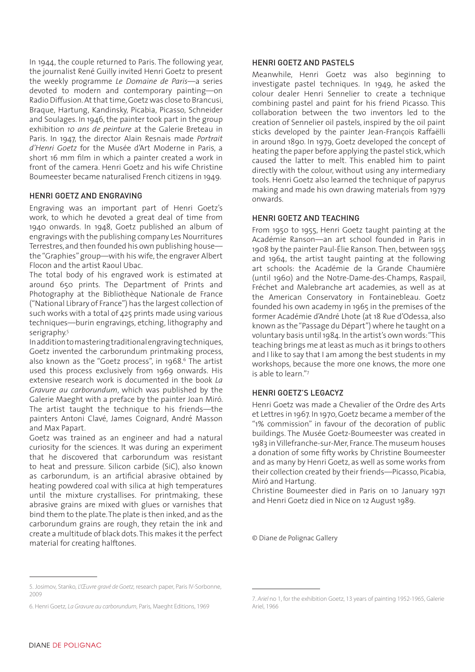In 1944, the couple returned to Paris. The following year, the journalist René Guilly invited Henri Goetz to present the weekly programme *Le Domaine de Paris*—a series devoted to modern and contemporary painting—on Radio Diffusion. At that time, Goetz was close to Brancusi, Braque, Hartung, Kandinsky, Picabia, Picasso, Schneider and Soulages. In 1946, the painter took part in the group exhibition *10 ans de peinture* at the Galerie Breteau in Paris. In 1947, the director Alain Resnais made *Portrait d'Henri Goetz* for the Musée d'Art Moderne in Paris, a short 16 mm film in which a painter created a work in front of the camera. Henri Goetz and his wife Christine Boumeester became naturalised French citizens in 1949.

# HENRI GOETZ AND ENGRAVING

Engraving was an important part of Henri Goetz's work, to which he devoted a great deal of time from 1940 onwards. In 1948, Goetz published an album of engravings with the publishing company Les Nourritures Terrestres, and then founded his own publishing house the "Graphies" group—with his wife, the engraver Albert Flocon and the artist Raoul Ubac.

The total body of his engraved work is estimated at around 650 prints. The Department of Prints and Photography at the Bibliothèque Nationale de France ("National Library of France") has the largest collection of such works with a total of 425 prints made using various techniques—burin engravings, etching, lithography and serigraphy.5

In addition to mastering traditional engraving techniques, Goetz invented the carborundum printmaking process, also known as the "Goetz process", in 1968.<sup>6</sup> The artist used this process exclusively from 1969 onwards. His extensive research work is documented in the book *La Gravure au carborundum*, which was published by the Galerie Maeght with a preface by the painter Joan Miró. The artist taught the technique to his friends—the painters Antoni Clavé, James Coignard, André Masson and Max Papart.

Goetz was trained as an engineer and had a natural curiosity for the sciences. It was during an experiment that he discovered that carborundum was resistant to heat and pressure. Silicon carbide (SiC), also known as carborundum, is an artificial abrasive obtained by heating powdered coal with silica at high temperatures until the mixture crystallises. For printmaking, these abrasive grains are mixed with glues or varnishes that bind them to the plate. The plate is then inked, and as the carborundum grains are rough, they retain the ink and create a multitude of black dots. This makes it the perfect material for creating halftones.

#### HENRI GOETZ AND PASTELS

Meanwhile, Henri Goetz was also beginning to investigate pastel techniques. In 1949, he asked the colour dealer Henri Sennelier to create a technique combining pastel and paint for his friend Picasso. This collaboration between the two inventors led to the creation of Sennelier oil pastels, inspired by the oil paint sticks developed by the painter Jean-François Raffaëlli in around 1890. In 1979, Goetz developed the concept of heating the paper before applying the pastel stick, which caused the latter to melt. This enabled him to paint directly with the colour, without using any intermediary tools. Henri Goetz also learned the technique of papyrus making and made his own drawing materials from 1979 onwards.

## HENRI GOETZ AND TEACHING

From 1950 to 1955, Henri Goetz taught painting at the Académie Ranson—an art school founded in Paris in 1908 by the painter Paul-Élie Ranson. Then, between 1955 and 1964, the artist taught painting at the following art schools: the Académie de la Grande Chaumière (until 1960) and the Notre-Dame-des-Champs, Raspail, Fréchet and Malebranche art academies, as well as at the American Conservatory in Fontainebleau. Goetz founded his own academy in 1965 in the premises of the former Académie d'André Lhote (at 18 Rue d'Odessa, also known as the "Passage du Départ") where he taught on a voluntary basis until 1984. In the artist's own words: "This teaching brings me at least as much as it brings to others and I like to say that I am among the best students in my workshops, because the more one knows, the more one is able to learn."7

# HENRI GOETZ'S LEGACYZ

Henri Goetz was made a Chevalier of the Ordre des Arts et Lettres in 1967. In 1970, Goetz became a member of the "1% commission" in favour of the decoration of public buildings. The Musée Goetz-Boumeester was created in 1983 in Villefranche-sur-Mer, France. The museum houses a donation of some fifty works by Christine Boumeester and as many by Henri Goetz, as well as some works from their collection created by their friends—Picasso, Picabia, Miró and Hartung.

Christine Boumeester died in Paris on 10 January 1971 and Henri Goetz died in Nice on 12 August 1989.

© Diane de Polignac Gallery

<sup>5.</sup> Josimov, Stanko, *L'Œuvre gravé de Goetz*, research paper, Paris IV-Sorbonne, 2009

<sup>6.</sup> Henri Goetz, *La Gravure au carborundum*, Paris, Maeght Editions, 1969

<sup>7.</sup> *Ariel* no 1, for the exhibition Goetz, 13 years of painting 1952-1965, Galerie Ariel, 1966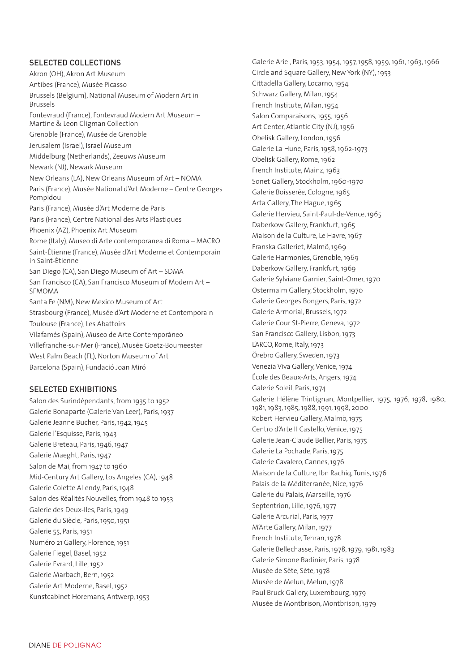# SELECTED COLLECTIONS

Akron (OH), Akron Art Museum Antibes (France), Musée Picasso Brussels (Belgium), National Museum of Modern Art in Brussels Fontevraud (France), Fontevraud Modern Art Museum – Martine & Leon Cligman Collection Grenoble (France), Musée de Grenoble Jerusalem (Israel), Israel Museum Middelburg (Netherlands), Zeeuws Museum Newark (NJ), Newark Museum New Orleans (LA), New Orleans Museum of Art – NOMA Paris (France), Musée National d'Art Moderne – Centre Georges Pompidou Paris (France), Musée d'Art Moderne de Paris Paris (France), Centre National des Arts Plastiques Phoenix (AZ), Phoenix Art Museum Rome (Italy), Museo di Arte contemporanea di Roma – MACRO Saint-Étienne (France), Musée d'Art Moderne et Contemporain in Saint-Étienne San Diego (CA), San Diego Museum of Art – SDMA San Francisco (CA), San Francisco Museum of Modern Art – SFMOMA Santa Fe (NM), New Mexico Museum of Art Strasbourg (France), Musée d'Art Moderne et Contemporain Toulouse (France), Les Abattoirs Vilafamés (Spain), Museo de Arte Contemporáneo Villefranche-sur-Mer (France), Musée Goetz-Boumeester West Palm Beach (FL), Norton Museum of Art Barcelona (Spain), Fundació Joan Miró

#### SELECTED EXHIBITIONS

Salon des Surindépendants, from 1935 to 1952 Galerie Bonaparte (Galerie Van Leer), Paris, 1937 Galerie Jeanne Bucher, Paris, 1942, 1945 Galerie l'Esquisse, Paris, 1943 Galerie Breteau, Paris, 1946, 1947 Galerie Maeght, Paris, 1947 Salon de Mai, from 1947 to 1960 Mid-Century Art Gallery, Los Angeles (CA), 1948 Galerie Colette Allendy, Paris, 1948 Salon des Réalités Nouvelles, from 1948 to 1953 Galerie des Deux-Iles, Paris, 1949 Galerie du Siècle, Paris, 1950, 1951 Galerie 55, Paris, 1951 Numéro 21 Gallery, Florence, 1951 Galerie Fiegel, Basel, 1952 Galerie Evrard, Lille, 1952 Galerie Marbach, Bern, 1952 Galerie Art Moderne, Basel, 1952 Kunstcabinet Horemans, Antwerp, 1953

Galerie Ariel, Paris, 1953, 1954, 1957, 1958, 1959, 1961, 1963, 1966 Circle and Square Gallery, New York (NY), 1953 Cittadella Gallery, Locarno, 1954 Schwarz Gallery, Milan, 1954 French Institute, Milan, 1954 Salon Comparaisons, 1955, 1956 Art Center, Atlantic City (NJ), 1956 Obelisk Gallery, London, 1956 Galerie La Hune, Paris, 1958, 1962-1973 Obelisk Gallery, Rome, 1962 French Institute, Mainz, 1963 Sonet Gallery, Stockholm, 1960-1970 Galerie Boisserée, Cologne, 1965 Arta Gallery, The Hague, 1965 Galerie Hervieu, Saint-Paul-de-Vence, 1965 Daberkow Gallery, Frankfurt, 1965 Maison de la Culture, Le Havre, 1967 Franska Galleriet, Malmö, 1969 Galerie Harmonies, Grenoble, 1969 Daberkow Gallery, Frankfurt, 1969 Galerie Sylviane Garnier, Saint-Omer, 1970 Ostermalm Gallery, Stockholm, 1970 Galerie Georges Bongers, Paris, 1972 Galerie Armorial, Brussels, 1972 Galerie Cour St-Pierre, Geneva, 1972 San Francisco Gallery, Lisbon, 1973 L'ARCO, Rome, Italy, 1973 Örebro Gallery, Sweden, 1973 Venezia Viva Gallery, Venice, 1974 École des Beaux-Arts, Angers, 1974 Galerie Soleil, Paris, 1974 Galerie Hélène Trintignan, Montpellier, 1975, 1976, 1978, 1980, 1981, 1983, 1985, 1988, 1991, 1998, 2000 Robert Hervieu Gallery, Malmö, 1975 Centro d'Arte II Castello, Venice, 1975 Galerie Jean-Claude Bellier, Paris, 1975 Galerie La Pochade, Paris, 1975 Galerie Cavalero, Cannes, 1976 Maison de la Culture, Ibn Rachiq, Tunis, 1976 Palais de la Méditerranée, Nice, 1976 Galerie du Palais, Marseille, 1976 Septentrion, Lille, 1976, 1977 Galerie Arcurial, Paris, 1977 M'Arte Gallery, Milan, 1977 French Institute, Tehran, 1978 Galerie Bellechasse, Paris, 1978, 1979, 1981, 1983 Galerie Simone Badinier, Paris, 1978 Musée de Sète, Sète, 1978 Musée de Melun, Melun, 1978 Paul Bruck Gallery, Luxembourg, 1979 Musée de Montbrison, Montbrison, 1979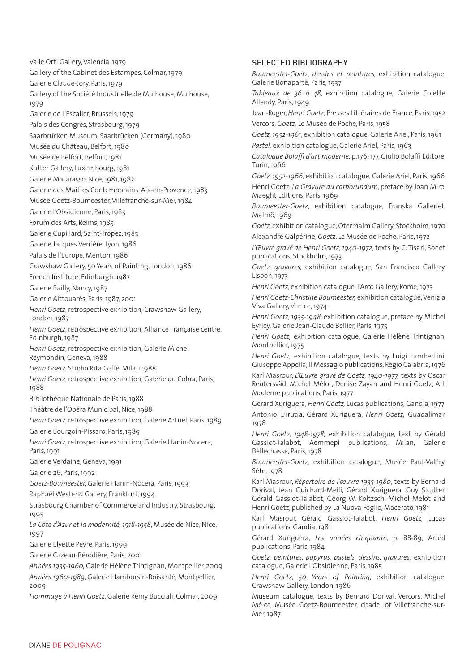Valle Orti Gallery, Valencia, 1979

Gallery of the Cabinet des Estampes, Colmar, 1979

Galerie Claude-Jory, Paris, 1979

Gallery of the Société Industrielle de Mulhouse, Mulhouse, 1979

Galerie de L'Escalier, Brussels, 1979

Palais des Congrès, Strasbourg, 1979

Saarbrücken Museum, Saarbrücken (Germany), 1980

Musée du Château, Belfort, 1980

Musée de Belfort, Belfort, 1981

Kutter Gallery, Luxembourg, 1981

Galerie Matarasso, Nice, 1981, 1982

Galerie des Maîtres Contemporains, Aix-en-Provence, 1983

Musée Goetz-Boumeester, Villefranche-sur-Mer, 1984

Galerie l'Obsidienne, Paris, 1985

Forum des Arts, Reims, 1985

Galerie Cupillard, Saint-Tropez, 1985

Galerie Jacques Verrière, Lyon, 1986

Palais de l'Europe, Menton, 1986

Crawshaw Gallery, 50 Years of Painting, London, 1986

French Institute, Edinburgh, 1987

Galerie Bailly, Nancy, 1987

Galerie Aittouarès, Paris, 1987, 2001

*Henri Goetz*, retrospective exhibition, Crawshaw Gallery, London, 1987

*Henri Goetz*, retrospective exhibition, Alliance Française centre, Edinburgh, 1987

*Henri Goetz*, retrospective exhibition, Galerie Michel Reymondin, Geneva, 1988

*Henri Goetz*, Studio Rita Gallé, Milan 1988

*Henri Goetz*, retrospective exhibition, Galerie du Cobra, Paris, 1988

Bibliothèque Nationale de Paris, 1988

Théâtre de l'Opéra Municipal, Nice, 1988

*Henri Goetz*, retrospective exhibition, Galerie Artuel, Paris, 1989

Galerie Bourgoin-Pissaro, Paris, 1989

*Henri Goetz*, retrospective exhibition, Galerie Hanin-Nocera, Paris, 1991

Galerie Verdaine, Geneva, 1991

Galerie 26, Paris, 1992

*Goetz-Boumeester,* Galerie Hanin-Nocera, Paris, 1993

Raphaël Westend Gallery, Frankfurt, 1994

Strasbourg Chamber of Commerce and Industry, Strasbourg, 1995

*La Côte d'Azur et la modernité, 1918-1958*, Musée de Nice, Nice, 1997

Galerie Elyette Peyre, Paris, 1999

Galerie Cazeau-Bérodière, Paris, 2001

*Années 1935-1960,* Galerie Hélène Trintignan, Montpellier, 2009 *Années 1960-1989*, Galerie Hambursin-Boisanté, Montpellier, 2009

*Hommage à Henri Goetz*, Galerie Rémy Bucciali, Colmar, 2009

#### SELECTED BIBLIOGRAPHY

*Boumeester-Goetz, dessins et peintures,* exhibition catalogue, Galerie Bonaparte, Paris, 1937

*Tableaux de 36 à 48*, exhibition catalogue, Galerie Colette Allendy, Paris, 1949

Jean-Roger, *Henri Goetz*, Presses Littéraires de France, Paris, 1952 Vercors, *Goetz,* Le Musée de Poche, Paris, 1958

*Goetz, 1952-1961*, exhibition catalogue, Galerie Ariel, Paris, 1961 *Pastel,* exhibition catalogue, Galerie Ariel, Paris, 1963

*Catalogue Bolaffi d'art moderne,* p.176-177, Giulio Bolaffi Editore, Turin, 1966

*Goetz, 1952-1966*, exhibition catalogue, Galerie Ariel, Paris, 1966 Henri Goetz, *La Gravure au carborundum*, preface by Joan Miro, Maeght Editions, Paris, 1969

*Boumeester-Goetz*, exhibition catalogue, Franska Galleriet, Malmö, 1969

*Goetz,* exhibition catalogue, Otermalm Gallery, Stockholm, 1970 Alexandre Galpérine, *Goetz*, Le Musée de Poche, Paris, 1972

*L'Œuvre gravé de Henri Goetz, 1940-1972*, texts by C. Tisari, Sonet publications, Stockholm, 1973

*Goetz, gravures,* exhibition catalogue, San Francisco Gallery, Lisbon, 1973

*Henri Goetz*, exhibition catalogue, L'Arco Gallery, Rome, 1973

*Henri Goetz-Christine Boumeester,* exhibition catalogue, Venizia Viva Gallery, Venice, 1974

*Henri Goetz, 1935-1948*, exhibition catalogue, preface by Michel Eyriey, Galerie Jean-Claude Bellier, Paris, 1975

*Henri Goetz,* exhibition catalogue, Galerie Hélène Trintignan, Montpellier, 1975

*Henri Goetz,* exhibition catalogue, texts by Luigi Lambertini, Giuseppe Appella, Il Messagio publications, Regio Calabria, 1976

Karl Masrour, *L'Œuvre gravé de Goetz, 1940-1977,* texts by Oscar Reutersväd, Michel Mélot, Denise Zayan and Henri Goetz, Art Moderne publications, Paris, 1977

Gérard Xuriguera, *Henri Goetz,* Lucas publications, Gandia, 1977 Antonio Urrutia, Gérard Xuriguera, *Henri Goetz,* Guadalimar, 1978

*Henri Goetz, 1948-1978,* exhibition catalogue, text by Gérald Gassiot-Talabot, Aemmepi publications, Milan, Galerie Bellechasse, Paris, 1978

*Boumeester-Goetz,* exhibition catalogue, Musée Paul-Valéry, Sète, 1978

Karl Masrour, *Répertoire de l'œuvre 1935-1980*, texts by Bernard Dorival, Jean Guichard-Meili, Gérard Xuriguera, Guy Sautter, Gérald Gassiot-Talabot, Georg W. Költzsch, Michel Mélot and Henri Goetz, published by La Nuova Foglio, Macerato, 1981

Karl Masrour, Gérald Gassiot-Talabot, *Henri Goetz,* Lucas publications, Gandia, 1981

Gérard Xuriguera, *Les années cinquante*, p. 88-89, Arted publications, Paris, 1984

*Goetz, peintures, papyrus, pastels, dessins, gravures,* exhibition catalogue, Galerie L'Obsidienne, Paris, 1985

*Henri Goetz, 50 Years of Painting*, exhibition catalogue, Crawshaw Gallery, London, 1986

Museum catalogue, texts by Bernard Dorival, Vercors, Michel Mélot, Musée Goetz-Boumeester, citadel of Villefranche-sur-Mer, 1987